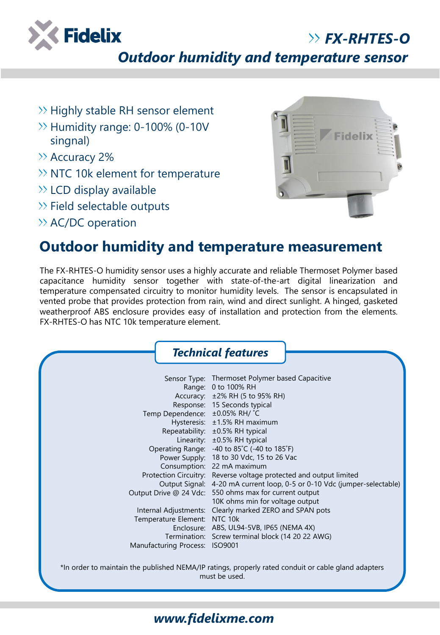

*FX-RHTES-O*

*Outdoor humidity and temperature sensor*

- $\gg$  Highly stable RH sensor element
- $\rightarrow$  Humidity range: 0-100% (0-10V singnal)
- >> Accuracy 2%
- $\gg$  NTC 10k element for temperature
- $\gg$  LCD display available
- $\gg$  Field selectable outputs
- $\rightarrow$  AC/DC operation



## **Outdoor humidity and temperature measurement**

The FX-RHTES-O humidity sensor uses a highly accurate and reliable Thermoset Polymer based capacitance humidity sensor together with state-of-the-art digital linearization and temperature compensated circuitry to monitor humidity levels. The sensor is encapsulated in vented probe that provides protection from rain, wind and direct sunlight. A hinged, gasketed weatherproof ABS enclosure provides easy of installation and protection from the elements. FX-RHTES-O has NTC 10k temperature element.

| Sensor Type: Thermoset Polymer based Capacitive<br>Range: 0 to 100% RH<br>$\pm$ 2% RH (5 to 95% RH)<br>Response: 15 Seconds typical<br>Temp Dependence: ±0.05% RH/ °C<br>Hysteresis: ±1.5% RH maximum<br>Repeatability: ±0.5% RH typical<br>Linearity: ±0.5% RH typical<br>Operating Range: -40 to 85°C (-40 to 185°F)<br>Power Supply: 18 to 30 Vdc, 15 to 26 Vac<br>Consumption: 22 mA maximum<br>Protection Circuitry: Reverse voltage protected and output limited<br>Output Signal: 4-20 mA current loop, 0-5 or 0-10 Vdc (jumper-selectable)<br>Output Drive @ 24 Vdc: 550 ohms max for current output<br>10K ohms min for voltage output<br>Internal Adjustments: Clearly marked ZERO and SPAN pots<br>Temperature Element: NTC 10k<br>Enclosure: ABS, UL94-5VB, IP65 (NEMA 4X)<br>Termination: Screw terminal block (14 20 22 AWG)<br>Manufacturing Process: ISO9001 |
|------------------------------------------------------------------------------------------------------------------------------------------------------------------------------------------------------------------------------------------------------------------------------------------------------------------------------------------------------------------------------------------------------------------------------------------------------------------------------------------------------------------------------------------------------------------------------------------------------------------------------------------------------------------------------------------------------------------------------------------------------------------------------------------------------------------------------------------------------------------------------|
| *In order to maintain the published NEMA/IP ratings, properly rated conduit or cable gland adapters<br>must be used.                                                                                                                                                                                                                                                                                                                                                                                                                                                                                                                                                                                                                                                                                                                                                         |

## *www.fidelixme.com*